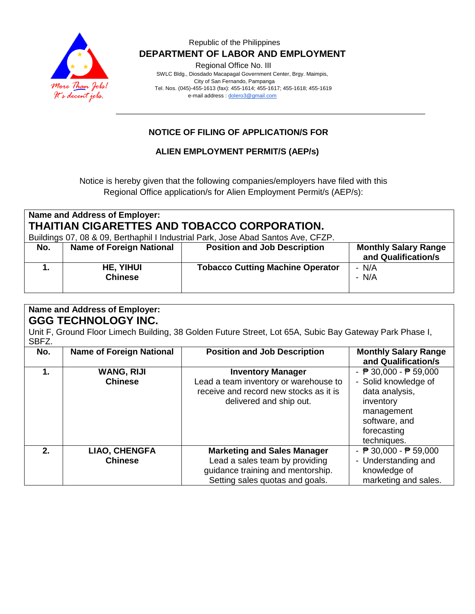

### Republic of the Philippines  **DEPARTMENT OF LABOR AND EMPLOYMENT**

Regional Office No. III

 SWLC Bldg., Diosdado Macapagal Government Center, Brgy. Maimpis, City of San Fernando, Pampanga Tel. Nos. (045)-455-1613 (fax): 455-1614; 455-1617; 455-1618; 455-1619 e-mail address [: dolero3@gmail.com](mailto:dolero3@gmail.com)

# **NOTICE OF FILING OF APPLICATION/S FOR**

**ALIEN EMPLOYMENT PERMIT/S (AEP/s)**

Notice is hereby given that the following companies/employers have filed with this Regional Office application/s for Alien Employment Permit/s (AEP/s):

| <b>Name and Address of Employer:</b><br>THAITIAN CIGARETTES AND TOBACCO CORPORATION.<br>Buildings 07, 08 & 09, Berthaphil I Industrial Park, Jose Abad Santos Ave, CFZP. |                                 |                                         |                                                    |  |  |  |
|--------------------------------------------------------------------------------------------------------------------------------------------------------------------------|---------------------------------|-----------------------------------------|----------------------------------------------------|--|--|--|
| No.                                                                                                                                                                      | <b>Name of Foreign National</b> | <b>Position and Job Description</b>     | <b>Monthly Salary Range</b><br>and Qualification/s |  |  |  |
|                                                                                                                                                                          | HE, YIHUI<br><b>Chinese</b>     | <b>Tobacco Cutting Machine Operator</b> | - N/A<br>$- N/A$                                   |  |  |  |

| <b>Name and Address of Employer:</b><br><b>GGG TECHNOLOGY INC.</b><br>Unit F, Ground Floor Limech Building, 38 Golden Future Street, Lot 65A, Subic Bay Gateway Park Phase I, |                                     |                                                                                                                                              |                                                                                                                                                                     |  |  |  |
|-------------------------------------------------------------------------------------------------------------------------------------------------------------------------------|-------------------------------------|----------------------------------------------------------------------------------------------------------------------------------------------|---------------------------------------------------------------------------------------------------------------------------------------------------------------------|--|--|--|
| SBFZ.                                                                                                                                                                         |                                     |                                                                                                                                              |                                                                                                                                                                     |  |  |  |
| No.                                                                                                                                                                           | <b>Name of Foreign National</b>     | <b>Position and Job Description</b>                                                                                                          | <b>Monthly Salary Range</b><br>and Qualification/s                                                                                                                  |  |  |  |
| 1.                                                                                                                                                                            | <b>WANG, RIJI</b><br><b>Chinese</b> | <b>Inventory Manager</b><br>Lead a team inventory or warehouse to<br>receive and record new stocks as it is<br>delivered and ship out.       | - $\overline{P}$ 30,000 - $\overline{P}$ 59,000<br>- Solid knowledge of<br>data analysis,<br>inventory<br>management<br>software, and<br>forecasting<br>techniques. |  |  |  |
| 2.                                                                                                                                                                            | LIAO, CHENGFA<br><b>Chinese</b>     | <b>Marketing and Sales Manager</b><br>Lead a sales team by providing<br>guidance training and mentorship.<br>Setting sales quotas and goals. | - $\sqrt{P}$ 30,000 - $\sqrt{P}$ 59,000<br>- Understanding and<br>knowledge of<br>marketing and sales.                                                              |  |  |  |